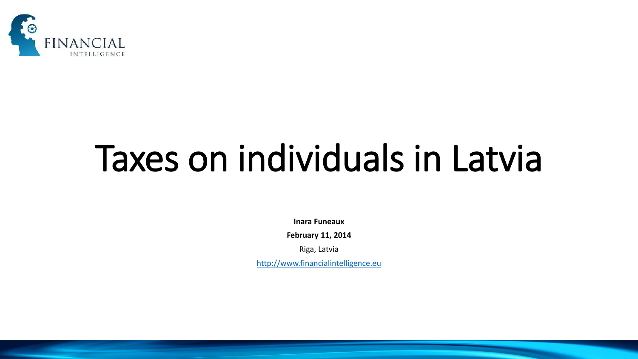

# Taxes on individuals in Latvia

**Inara Funeaux**

**February 11, 2014**

Riga, Latvia

[http://www.financialintelligence.eu](http://www.financialintelligence.eu/)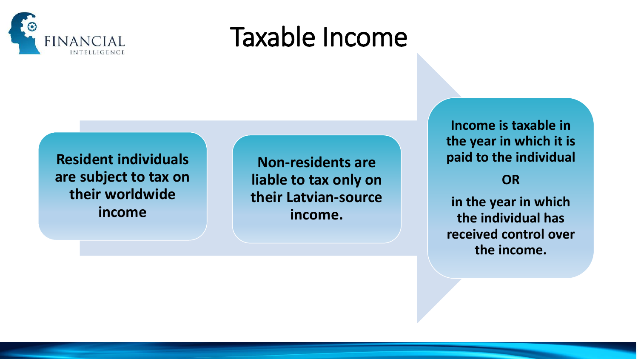

#### Taxable Income

**Resident individuals are subject to tax on their worldwide income**

**Non-residents are liable to tax only on their Latvian-source income.**

**Income is taxable in the year in which it is paid to the individual** 

#### **OR**

**in the year in which the individual has received control over the income.**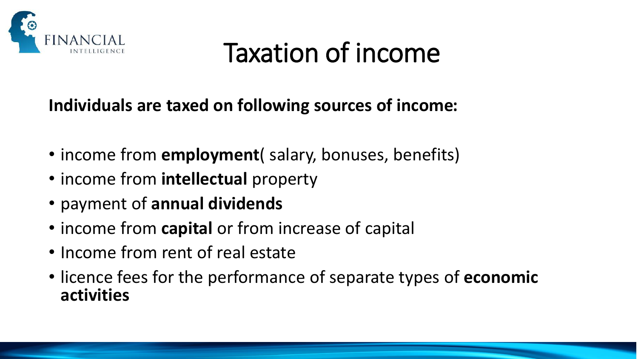

#### Taxation of income

**Individuals are taxed on following sources of income:** 

- income from **employment**( salary, bonuses, benefits)
- income from **intellectual** property
- payment of **annual dividends**
- income from **capital** or from increase of capital
- Income from rent of real estate
- licence fees for the performance of separate types of **economic activities**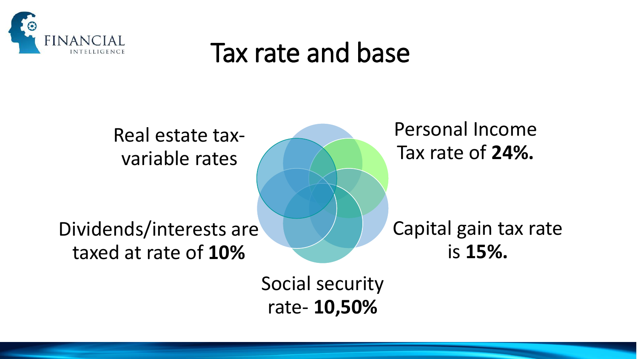

#### Tax rate and base

Real estate taxvariable rates

Dividends/interests are taxed at rate of **10%**

Personal Income Tax rate of **24%.**

Capital gain tax rate is **15%.**

Social security rate- **10,50%**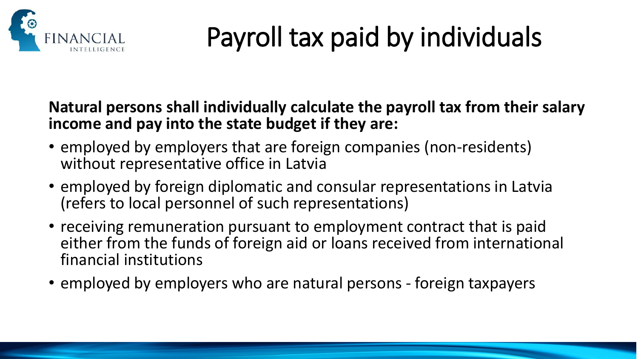

# Payroll tax paid by individuals

#### **Natural persons shall individually calculate the payroll tax from their salary income and pay into the state budget if they are:**

- employed by employers that are foreign companies (non-residents) without representative office in Latvia
- employed by foreign diplomatic and consular representations in Latvia (refers to local personnel of such representations)
- receiving remuneration pursuant to employment contract that is paid either from the funds of foreign aid or loans received from international financial institutions
- employed by employers who are natural persons foreign taxpayers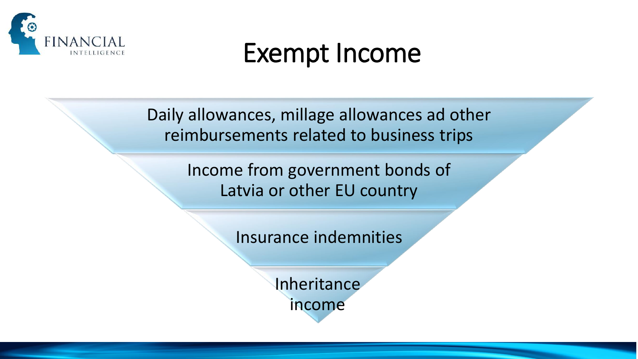

#### Exempt Income

Daily allowances, millage allowances ad other reimbursements related to business trips

> Income from government bonds of Latvia or other EU country

> > Insurance indemnities

Inheritance income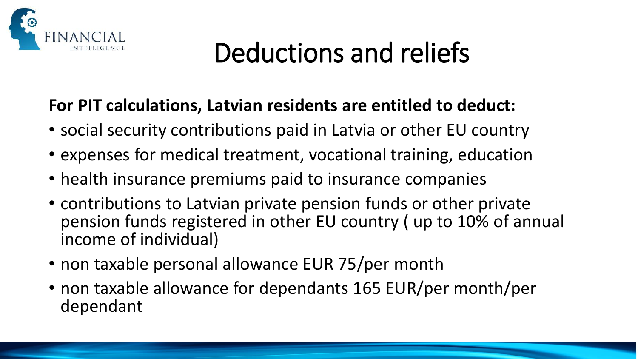

### Deductions and reliefs

#### **For PIT calculations, Latvian residents are entitled to deduct:**

- social security contributions paid in Latvia or other EU country
- expenses for medical treatment, vocational training, education
- health insurance premiums paid to insurance companies
- contributions to Latvian private pension funds or other private pension funds registered in other EU country ( up to 10% of annual income of individual)
- non taxable personal allowance EUR 75/per month
- non taxable allowance for dependants 165 EUR/per month/per dependant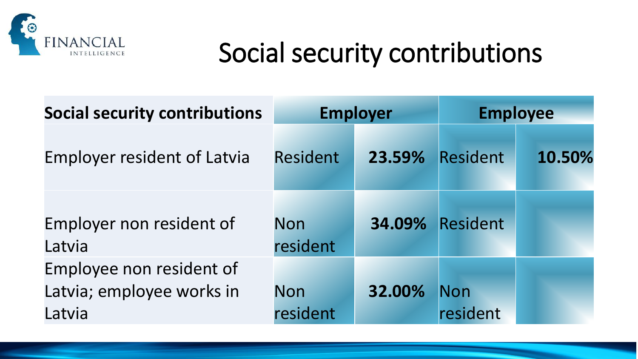

#### Social security contributions

| <b>Social security contributions</b>                            | <b>Employer</b>        |        | <b>Employee</b>        |        |
|-----------------------------------------------------------------|------------------------|--------|------------------------|--------|
| <b>Employer resident of Latvia</b>                              | <b>Resident</b>        | 23.59% | Resident               | 10.50% |
| Employer non resident of<br>Latvia                              | <b>Non</b><br>resident |        | <b>34.09% Resident</b> |        |
| Employee non resident of<br>Latvia; employee works in<br>Latvia | <b>Non</b><br>resident | 32.00% | <b>Non</b><br>resident |        |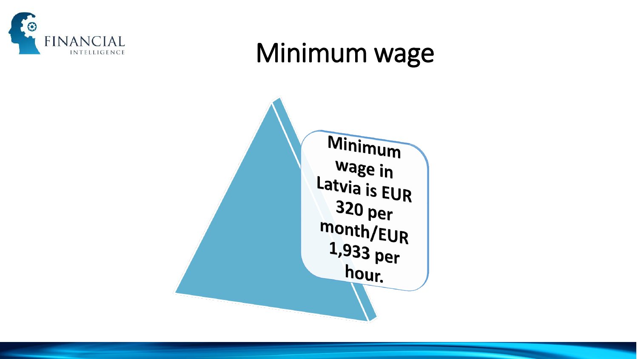

#### Minimum wage

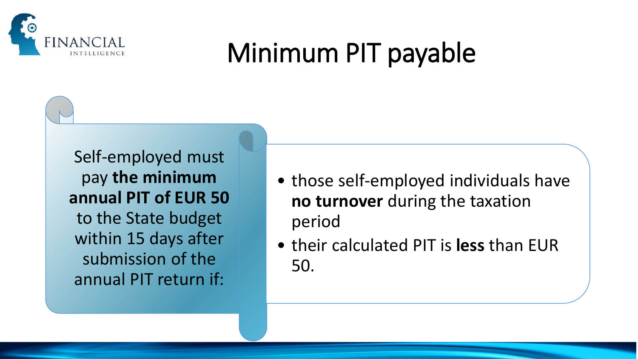

### Minimum PIT payable

Self-employed must pay **the minimum annual PIT of EUR 50** to the State budget within 15 days after submission of the annual PIT return if:

- those self-employed individuals have **no turnover** during the taxation period
- their calculated PIT is **less** than EUR 50.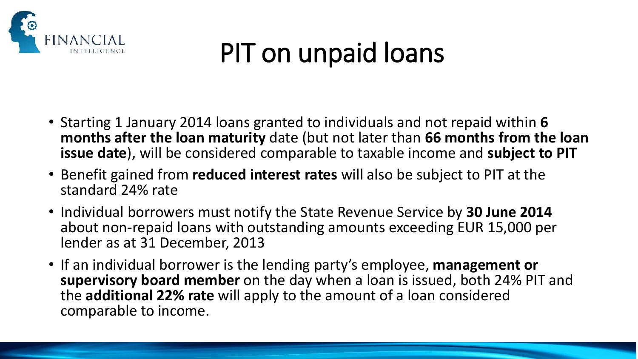

### PIT on unpaid loans

- Starting 1 January 2014 loans granted to individuals and not repaid within **6 months after the loan maturity** date (but not later than **66 months from the loan issue date**), will be considered comparable to taxable income and **subject to PIT**
- Benefit gained from **reduced interest rates** will also be subject to PIT at the standard 24% rate
- Individual borrowers must notify the State Revenue Service by **30 June 2014** about non-repaid loans with outstanding amounts exceeding EUR 15,000 per lender as at 31 December, 2013
- If an individual borrower is the lending party's employee, **management or supervisory board member** on the day when a loan is issued, both 24% PIT and the **additional 22% rate** will apply to the amount of a loan considered comparable to income.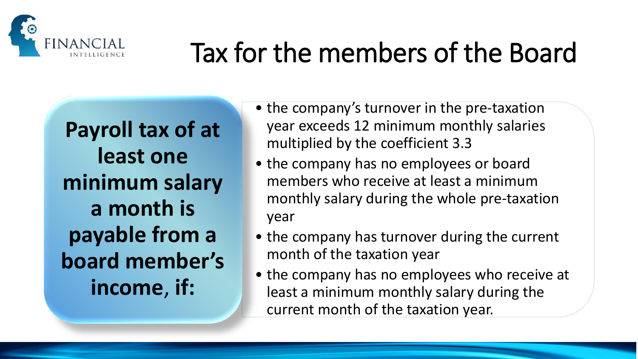

## Tax for the members of the Board

**Payroll tax of at least one minimum salary a month is payable from a board member's income**, **if:**

- the company's turnover in the pre-taxation year exceeds 12 minimum monthly salaries multiplied by the coefficient 3.3
- the company has no employees or board members who receive at least a minimum monthly salary during the whole pre-taxation year
- the company has turnover during the current month of the taxation year
- the company has no employees who receive at least a minimum monthly salary during the current month of the taxation year.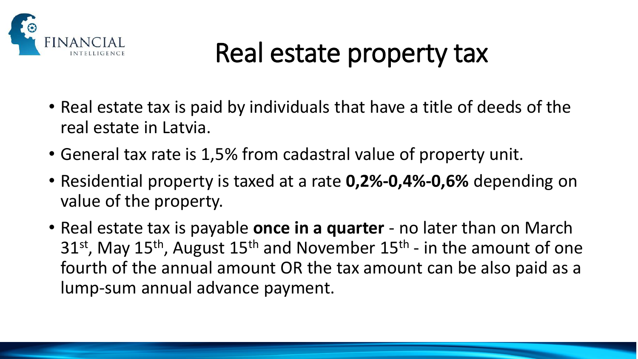

### Real estate property tax

- Real estate tax is paid by individuals that have a title of deeds of the real estate in Latvia.
- General tax rate is 1,5% from cadastral value of property unit.
- Residential property is taxed at a rate **0,2%-0,4%-0,6%** depending on value of the property.
- Real estate tax is payable **once in a quarter**  no later than on March 31<sup>st</sup>, May 15<sup>th</sup>, August 15<sup>th</sup> and November 15<sup>th</sup> - in the amount of one fourth of the annual amount OR the tax amount can be also paid as a lump-sum annual advance payment.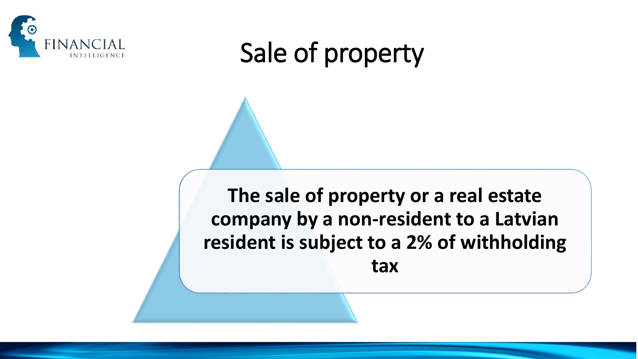

### Sale of property

**The sale of property or a real estate company by a non-resident to a Latvian resident is subject to a 2% of withholding tax**